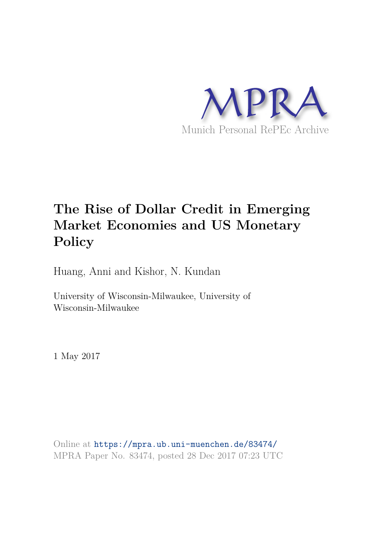

# **The Rise of Dollar Credit in Emerging Market Economies and US Monetary Policy**

Huang, Anni and Kishor, N. Kundan

University of Wisconsin-Milwaukee, University of Wisconsin-Milwaukee

1 May 2017

Online at https://mpra.ub.uni-muenchen.de/83474/ MPRA Paper No. 83474, posted 28 Dec 2017 07:23 UTC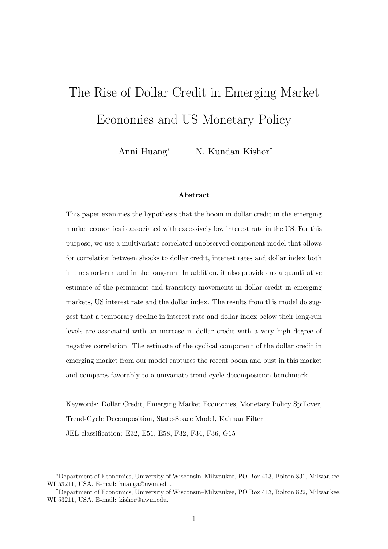# The Rise of Dollar Credit in Emerging Market Economies and US Monetary Policy

Anni Huang<sup>∗</sup> N. Kundan Kishor†

#### Abstract

This paper examines the hypothesis that the boom in dollar credit in the emerging market economies is associated with excessively low interest rate in the US. For this purpose, we use a multivariate correlated unobserved component model that allows for correlation between shocks to dollar credit, interest rates and dollar index both in the short-run and in the long-run. In addition, it also provides us a quantitative estimate of the permanent and transitory movements in dollar credit in emerging markets, US interest rate and the dollar index. The results from this model do suggest that a temporary decline in interest rate and dollar index below their long-run levels are associated with an increase in dollar credit with a very high degree of negative correlation. The estimate of the cyclical component of the dollar credit in emerging market from our model captures the recent boom and bust in this market and compares favorably to a univariate trend-cycle decomposition benchmark.

Keywords: Dollar Credit, Emerging Market Economies, Monetary Policy Spillover, Trend-Cycle Decomposition, State-Space Model, Kalman Filter JEL classification: E32, E51, E58, F32, F34, F36, G15

<sup>∗</sup>Department of Economics, University of Wisconsin–Milwaukee, PO Box 413, Bolton 831, Milwaukee, WI 53211, USA. E-mail: huanga@uwm.edu.

<sup>†</sup>Department of Economics, University of Wisconsin–Milwaukee, PO Box 413, Bolton 822, Milwaukee, WI 53211, USA. E-mail: kishor@uwm.edu.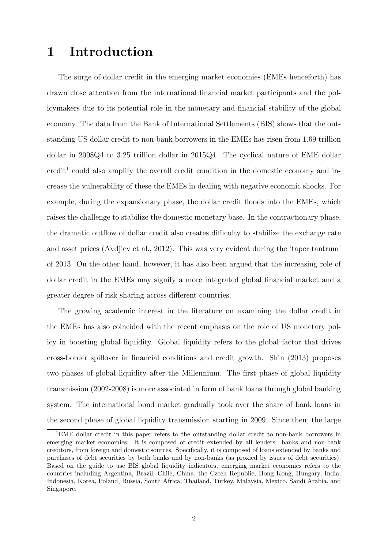# 1 Introduction

The surge of dollar credit in the emerging market economies (EMEs henceforth) has drawn close attention from the international financial market participants and the policymakers due to its potential role in the monetary and financial stability of the global economy. The data from the Bank of International Settlements (BIS) shows that the outstanding US dollar credit to non-bank borrowers in the EMEs has risen from 1.69 trillion dollar in 2008Q4 to 3.25 trillion dollar in 2015Q4. The cyclical nature of EME dollar  $\mathrm{credit}^1$  could also amplify the overall credit condition in the domestic economy and increase the vulnerability of these the EMEs in dealing with negative economic shocks. For example, during the expansionary phase, the dollar credit floods into the EMEs, which raises the challenge to stabilize the domestic monetary base. In the contractionary phase, the dramatic outflow of dollar credit also creates difficulty to stabilize the exchange rate and asset prices (Avdjiev et al., 2012). This was very evident during the 'taper tantrum' of 2013. On the other hand, however, it has also been argued that the increasing role of dollar credit in the EMEs may signify a more integrated global financial market and a greater degree of risk sharing across different countries.

The growing academic interest in the literature on examining the dollar credit in the EMEs has also coincided with the recent emphasis on the role of US monetary policy in boosting global liquidity. Global liquidity refers to the global factor that drives cross-border spillover in financial conditions and credit growth. Shin (2013) proposes two phases of global liquidity after the Millennium. The first phase of global liquidity transmission (2002-2008) is more associated in form of bank loans through global banking system. The international bond market gradually took over the share of bank loans in the second phase of global liquidity transmission starting in 2009. Since then, the large

<sup>1</sup>EME dollar credit in this paper refers to the outstanding dollar credit to non-bank borrowers in emerging market economies. It is composed of credit extended by all lenders: banks and non-bank creditors, from foreign and domestic sources. Specifically, it is composed of loans extended by banks and purchases of debt securities by both banks and by non-banks (as proxied by issues of debt securities). Based on the guide to use BIS global liquidity indicators, emerging market economies refers to the countries including Argentina, Brazil, Chile, China, the Czech Republic, Hong Kong, Hungary, India, Indonesia, Korea, Poland, Russia, South Africa, Thailand, Turkey, Malaysia, Mexico, Saudi Arabia, and Singapore.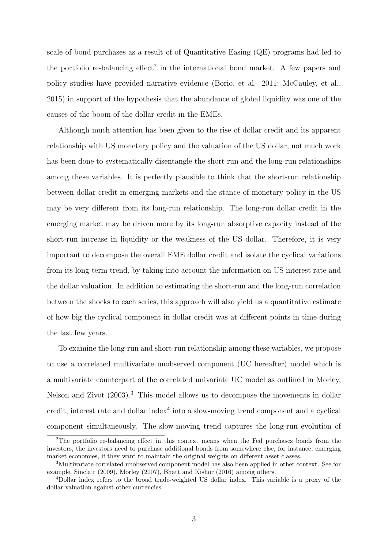scale of bond purchases as a result of of Quantitative Easing (QE) programs had led to the portfolio re-balancing  $effect^2$  in the international bond market. A few papers and policy studies have provided narrative evidence (Borio, et al. 2011; McCauley, et al., 2015) in support of the hypothesis that the abundance of global liquidity was one of the causes of the boom of the dollar credit in the EMEs.

Although much attention has been given to the rise of dollar credit and its apparent relationship with US monetary policy and the valuation of the US dollar, not much work has been done to systematically disentangle the short-run and the long-run relationships among these variables. It is perfectly plausible to think that the short-run relationship between dollar credit in emerging markets and the stance of monetary policy in the US may be very different from its long-run relationship. The long-run dollar credit in the emerging market may be driven more by its long-run absorptive capacity instead of the short-run increase in liquidity or the weakness of the US dollar. Therefore, it is very important to decompose the overall EME dollar credit and isolate the cyclical variations from its long-term trend, by taking into account the information on US interest rate and the dollar valuation. In addition to estimating the short-run and the long-run correlation between the shocks to each series, this approach will also yield us a quantitative estimate of how big the cyclical component in dollar credit was at different points in time during the last few years.

To examine the long-run and short-run relationship among these variables, we propose to use a correlated multivariate unobserved component (UC hereafter) model which is a multivariate counterpart of the correlated univariate UC model as outlined in Morley, Nelson and Zivot (2003).<sup>3</sup> This model allows us to decompose the movements in dollar credit, interest rate and dollar index<sup>4</sup> into a slow-moving trend component and a cyclical component simultaneously. The slow-moving trend captures the long-run evolution of

<sup>2</sup>The portfolio re-balancing effect in this context means when the Fed purchases bonds from the investors, the investors need to purchase additional bonds from somewhere else, for instance, emerging market economies, if they want to maintain the original weights on different asset classes.

<sup>3</sup>Multivariate correlated unobserved component model has also been applied in other context. See for example, Sinclair (2009), Morley (2007), Bhatt and Kishor (2016) among others.

<sup>4</sup>Dollar index refers to the broad trade-weighted US dollar index. This variable is a proxy of the dollar valuation against other currencies.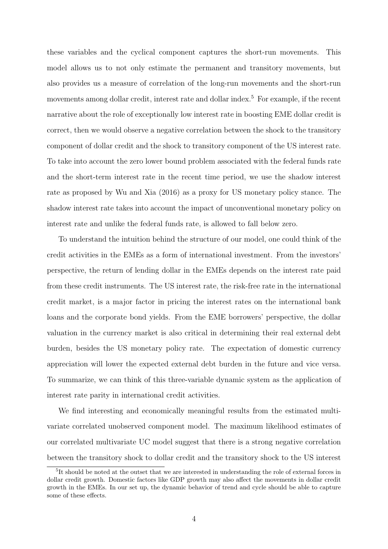these variables and the cyclical component captures the short-run movements. This model allows us to not only estimate the permanent and transitory movements, but also provides us a measure of correlation of the long-run movements and the short-run movements among dollar credit, interest rate and dollar index.<sup>5</sup> For example, if the recent narrative about the role of exceptionally low interest rate in boosting EME dollar credit is correct, then we would observe a negative correlation between the shock to the transitory component of dollar credit and the shock to transitory component of the US interest rate. To take into account the zero lower bound problem associated with the federal funds rate and the short-term interest rate in the recent time period, we use the shadow interest rate as proposed by Wu and Xia (2016) as a proxy for US monetary policy stance. The shadow interest rate takes into account the impact of unconventional monetary policy on interest rate and unlike the federal funds rate, is allowed to fall below zero.

To understand the intuition behind the structure of our model, one could think of the credit activities in the EMEs as a form of international investment. From the investors' perspective, the return of lending dollar in the EMEs depends on the interest rate paid from these credit instruments. The US interest rate, the risk-free rate in the international credit market, is a major factor in pricing the interest rates on the international bank loans and the corporate bond yields. From the EME borrowers' perspective, the dollar valuation in the currency market is also critical in determining their real external debt burden, besides the US monetary policy rate. The expectation of domestic currency appreciation will lower the expected external debt burden in the future and vice versa. To summarize, we can think of this three-variable dynamic system as the application of interest rate parity in international credit activities.

We find interesting and economically meaningful results from the estimated multivariate correlated unobserved component model. The maximum likelihood estimates of our correlated multivariate UC model suggest that there is a strong negative correlation between the transitory shock to dollar credit and the transitory shock to the US interest

<sup>&</sup>lt;sup>5</sup>It should be noted at the outset that we are interested in understanding the role of external forces in dollar credit growth. Domestic factors like GDP growth may also affect the movements in dollar credit growth in the EMEs. In our set up, the dynamic behavior of trend and cycle should be able to capture some of these effects.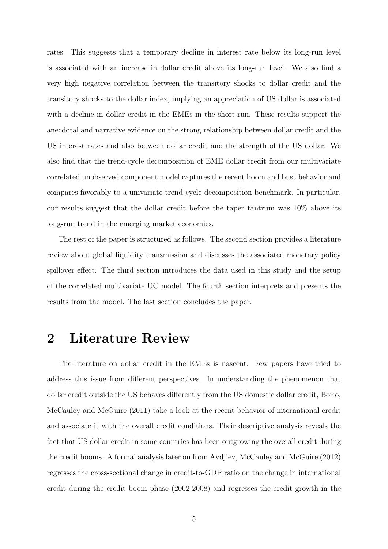rates. This suggests that a temporary decline in interest rate below its long-run level is associated with an increase in dollar credit above its long-run level. We also find a very high negative correlation between the transitory shocks to dollar credit and the transitory shocks to the dollar index, implying an appreciation of US dollar is associated with a decline in dollar credit in the EMEs in the short-run. These results support the anecdotal and narrative evidence on the strong relationship between dollar credit and the US interest rates and also between dollar credit and the strength of the US dollar. We also find that the trend-cycle decomposition of EME dollar credit from our multivariate correlated unobserved component model captures the recent boom and bust behavior and compares favorably to a univariate trend-cycle decomposition benchmark. In particular, our results suggest that the dollar credit before the taper tantrum was 10% above its long-run trend in the emerging market economies.

The rest of the paper is structured as follows. The second section provides a literature review about global liquidity transmission and discusses the associated monetary policy spillover effect. The third section introduces the data used in this study and the setup of the correlated multivariate UC model. The fourth section interprets and presents the results from the model. The last section concludes the paper.

### 2 Literature Review

The literature on dollar credit in the EMEs is nascent. Few papers have tried to address this issue from different perspectives. In understanding the phenomenon that dollar credit outside the US behaves differently from the US domestic dollar credit, Borio, McCauley and McGuire (2011) take a look at the recent behavior of international credit and associate it with the overall credit conditions. Their descriptive analysis reveals the fact that US dollar credit in some countries has been outgrowing the overall credit during the credit booms. A formal analysis later on from Avdjiev, McCauley and McGuire (2012) regresses the cross-sectional change in credit-to-GDP ratio on the change in international credit during the credit boom phase (2002-2008) and regresses the credit growth in the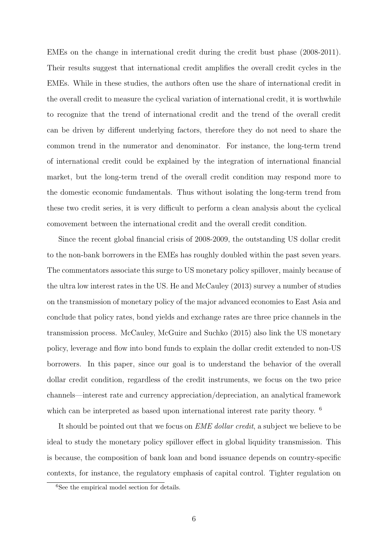EMEs on the change in international credit during the credit bust phase (2008-2011). Their results suggest that international credit amplifies the overall credit cycles in the EMEs. While in these studies, the authors often use the share of international credit in the overall credit to measure the cyclical variation of international credit, it is worthwhile to recognize that the trend of international credit and the trend of the overall credit can be driven by different underlying factors, therefore they do not need to share the common trend in the numerator and denominator. For instance, the long-term trend of international credit could be explained by the integration of international financial market, but the long-term trend of the overall credit condition may respond more to the domestic economic fundamentals. Thus without isolating the long-term trend from these two credit series, it is very difficult to perform a clean analysis about the cyclical comovement between the international credit and the overall credit condition.

Since the recent global financial crisis of 2008-2009, the outstanding US dollar credit to the non-bank borrowers in the EMEs has roughly doubled within the past seven years. The commentators associate this surge to US monetary policy spillover, mainly because of the ultra low interest rates in the US. He and McCauley (2013) survey a number of studies on the transmission of monetary policy of the major advanced economies to East Asia and conclude that policy rates, bond yields and exchange rates are three price channels in the transmission process. McCauley, McGuire and Suchko (2015) also link the US monetary policy, leverage and flow into bond funds to explain the dollar credit extended to non-US borrowers. In this paper, since our goal is to understand the behavior of the overall dollar credit condition, regardless of the credit instruments, we focus on the two price channels—interest rate and currency appreciation/depreciation, an analytical framework which can be interpreted as based upon international interest rate parity theory. <sup>6</sup>

It should be pointed out that we focus on *EME dollar credit*, a subject we believe to be ideal to study the monetary policy spillover effect in global liquidity transmission. This is because, the composition of bank loan and bond issuance depends on country-specific contexts, for instance, the regulatory emphasis of capital control. Tighter regulation on

<sup>6</sup>See the empirical model section for details.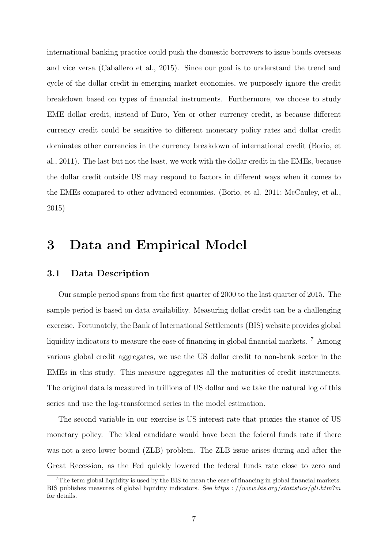international banking practice could push the domestic borrowers to issue bonds overseas and vice versa (Caballero et al., 2015). Since our goal is to understand the trend and cycle of the dollar credit in emerging market economies, we purposely ignore the credit breakdown based on types of financial instruments. Furthermore, we choose to study EME dollar credit, instead of Euro, Yen or other currency credit, is because different currency credit could be sensitive to different monetary policy rates and dollar credit dominates other currencies in the currency breakdown of international credit (Borio, et al., 2011). The last but not the least, we work with the dollar credit in the EMEs, because the dollar credit outside US may respond to factors in different ways when it comes to the EMEs compared to other advanced economies. (Borio, et al. 2011; McCauley, et al., 2015)

### 3 Data and Empirical Model

### 3.1 Data Description

Our sample period spans from the first quarter of 2000 to the last quarter of 2015. The sample period is based on data availability. Measuring dollar credit can be a challenging exercise. Fortunately, the Bank of International Settlements (BIS) website provides global liquidity indicators to measure the ease of financing in global financial markets. <sup>7</sup> Among various global credit aggregates, we use the US dollar credit to non-bank sector in the EMEs in this study. This measure aggregates all the maturities of credit instruments. The original data is measured in trillions of US dollar and we take the natural log of this series and use the log-transformed series in the model estimation.

The second variable in our exercise is US interest rate that proxies the stance of US monetary policy. The ideal candidate would have been the federal funds rate if there was not a zero lower bound (ZLB) problem. The ZLB issue arises during and after the Great Recession, as the Fed quickly lowered the federal funds rate close to zero and

<sup>7</sup>The term global liquidity is used by the BIS to mean the ease of financing in global financial markets. BIS publishes measures of global liquidity indicators. See https :  $//www.bis.org/statistics/gli.htm?m$ for details.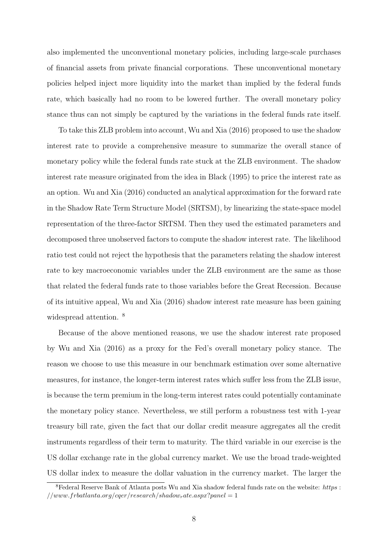also implemented the unconventional monetary policies, including large-scale purchases of financial assets from private financial corporations. These unconventional monetary policies helped inject more liquidity into the market than implied by the federal funds rate, which basically had no room to be lowered further. The overall monetary policy stance thus can not simply be captured by the variations in the federal funds rate itself.

To take this ZLB problem into account, Wu and Xia (2016) proposed to use the shadow interest rate to provide a comprehensive measure to summarize the overall stance of monetary policy while the federal funds rate stuck at the ZLB environment. The shadow interest rate measure originated from the idea in Black (1995) to price the interest rate as an option. Wu and Xia (2016) conducted an analytical approximation for the forward rate in the Shadow Rate Term Structure Model (SRTSM), by linearizing the state-space model representation of the three-factor SRTSM. Then they used the estimated parameters and decomposed three unobserved factors to compute the shadow interest rate. The likelihood ratio test could not reject the hypothesis that the parameters relating the shadow interest rate to key macroeconomic variables under the ZLB environment are the same as those that related the federal funds rate to those variables before the Great Recession. Because of its intuitive appeal, Wu and Xia (2016) shadow interest rate measure has been gaining widespread attention.  $8$ 

Because of the above mentioned reasons, we use the shadow interest rate proposed by Wu and Xia (2016) as a proxy for the Fed's overall monetary policy stance. The reason we choose to use this measure in our benchmark estimation over some alternative measures, for instance, the longer-term interest rates which suffer less from the ZLB issue, is because the term premium in the long-term interest rates could potentially contaminate the monetary policy stance. Nevertheless, we still perform a robustness test with 1-year treasury bill rate, given the fact that our dollar credit measure aggregates all the credit instruments regardless of their term to maturity. The third variable in our exercise is the US dollar exchange rate in the global currency market. We use the broad trade-weighted US dollar index to measure the dollar valuation in the currency market. The larger the

 $8$ Federal Reserve Bank of Atlanta posts Wu and Xia shadow federal funds rate on the website: https :  $//www.frbatlanta.org/cqer/research/shadow rate. as px?panel = 1$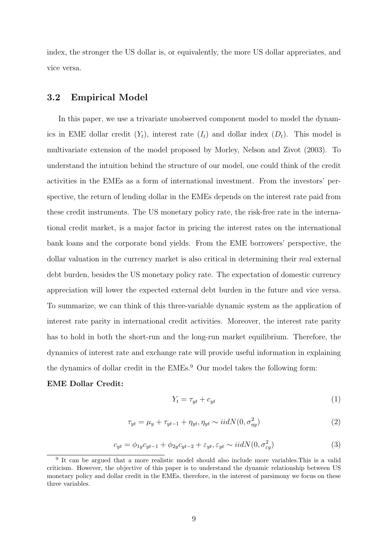index, the stronger the US dollar is, or equivalently, the more US dollar appreciates, and vice versa.

### 3.2 Empirical Model

In this paper, we use a trivariate unobserved component model to model the dynamics in EME dollar credit  $(Y_t)$ , interest rate  $(I_t)$  and dollar index  $(D_t)$ . This model is multivariate extension of the model proposed by Morley, Nelson and Zivot (2003). To understand the intuition behind the structure of our model, one could think of the credit activities in the EMEs as a form of international investment. From the investors' perspective, the return of lending dollar in the EMEs depends on the interest rate paid from these credit instruments. The US monetary policy rate, the risk-free rate in the international credit market, is a major factor in pricing the interest rates on the international bank loans and the corporate bond yields. From the EME borrowers' perspective, the dollar valuation in the currency market is also critical in determining their real external debt burden, besides the US monetary policy rate. The expectation of domestic currency appreciation will lower the expected external debt burden in the future and vice versa. To summarize, we can think of this three-variable dynamic system as the application of interest rate parity in international credit activities. Moreover, the interest rate parity has to hold in both the short-run and the long-run market equilibrium. Therefore, the dynamics of interest rate and exchange rate will provide useful information in explaining the dynamics of dollar credit in the EMEs.<sup>9</sup> Our model takes the following form:

#### EME Dollar Credit:

$$
Y_t = \tau_{yt} + c_{yt} \tag{1}
$$

$$
\tau_{yt} = \mu_y + \tau_{yt-1} + \eta_{yt}, \eta_{yt} \sim iidN(0, \sigma_{\eta y}^2)
$$
\n
$$
\tag{2}
$$

$$
c_{yt} = \phi_{1y}c_{yt-1} + \phi_{2y}c_{yt-2} + \varepsilon_{yt}, \varepsilon_{yt} \sim i\dot{d}N(0, \sigma_{\varepsilon y}^2)
$$
(3)

<sup>&</sup>lt;sup>9</sup> It can be argued that a more realistic model should also include more variables. This is a valid criticism. However, the objective of this paper is to understand the dynamic relationship between US monetary policy and dollar credit in the EMEs, therefore, in the interest of parsimony we focus on these three variables.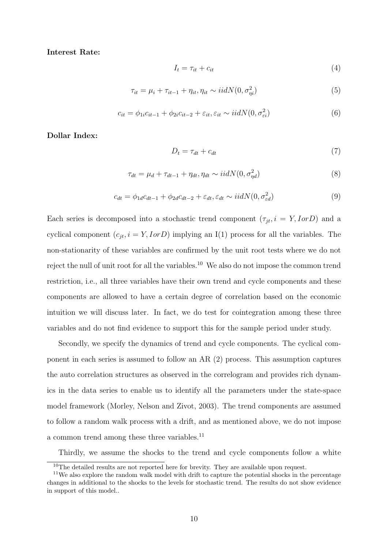Interest Rate:

$$
I_t = \tau_{it} + c_{it} \tag{4}
$$

$$
\tau_{it} = \mu_i + \tau_{it-1} + \eta_{it}, \eta_{it} \sim i i dN(0, \sigma_{\eta i}^2)
$$
\n
$$
\tag{5}
$$

$$
c_{it} = \phi_{1i}c_{it-1} + \phi_{2i}c_{it-2} + \varepsilon_{it}, \varepsilon_{it} \sim iidN(0, \sigma_{\varepsilon i}^2)
$$
(6)

Dollar Index:

$$
D_t = \tau_{dt} + c_{dt} \tag{7}
$$

$$
\tau_{dt} = \mu_d + \tau_{dt-1} + \eta_{dt}, \eta_{dt} \sim iidN(0, \sigma_{\eta d}^2)
$$
\n(8)

$$
c_{dt} = \phi_{1d}c_{dt-1} + \phi_{2d}c_{dt-2} + \varepsilon_{dt}, \varepsilon_{dt} \sim i\dot{d}N(0, \sigma_{\varepsilon d}^2)
$$
\n(9)

Each series is decomposed into a stochastic trend component  $(\tau_{jt}, i = Y, I \text{or } D)$  and a cyclical component  $(c_{jt}, i = Y, I \text{ or } D)$  implying an I(1) process for all the variables. The non-stationarity of these variables are confirmed by the unit root tests where we do not reject the null of unit root for all the variables.<sup>10</sup> We also do not impose the common trend restriction, i.e., all three variables have their own trend and cycle components and these components are allowed to have a certain degree of correlation based on the economic intuition we will discuss later. In fact, we do test for cointegration among these three variables and do not find evidence to support this for the sample period under study.

Secondly, we specify the dynamics of trend and cycle components. The cyclical component in each series is assumed to follow an AR (2) process. This assumption captures the auto correlation structures as observed in the correlogram and provides rich dynamics in the data series to enable us to identify all the parameters under the state-space model framework (Morley, Nelson and Zivot, 2003). The trend components are assumed to follow a random walk process with a drift, and as mentioned above, we do not impose a common trend among these three variables.<sup>11</sup>

Thirdly, we assume the shocks to the trend and cycle components follow a white

 $^{10}\mathrm{The}$  detailed results are not reported here for brevity. They are available upon request.

 $11$ We also explore the random walk model with drift to capture the potential shocks in the percentage changes in additional to the shocks to the levels for stochastic trend. The results do not show evidence in support of this model..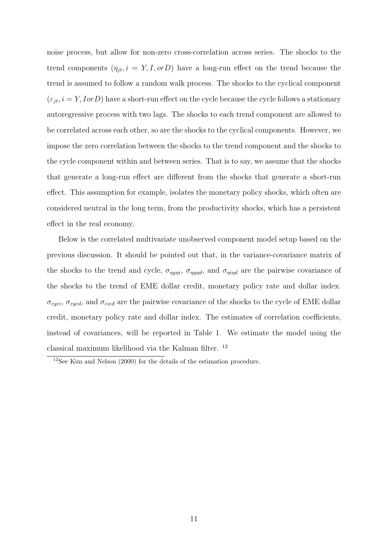noise process, but allow for non-zero cross-correlation across series. The shocks to the trend components  $(\eta_{it}, i = Y, I, or D)$  have a long-run effect on the trend because the trend is assumed to follow a random walk process. The shocks to the cyclical component  $(\varepsilon_{jt}, i = Y, \text{I} \text{ or } D)$  have a short-run effect on the cycle because the cycle follows a stationary autoregressive process with two lags. The shocks to each trend component are allowed to be correlated across each other, so are the shocks to the cyclical components. However, we impose the zero correlation between the shocks to the trend component and the shocks to the cycle component within and between series. That is to say, we assume that the shocks that generate a long-run effect are different from the shocks that generate a short-run effect. This assumption for example, isolates the monetary policy shocks, which often are considered neutral in the long term, from the productivity shocks, which has a persistent effect in the real economy.

Below is the correlated multivariate unobserved component model setup based on the previous discussion. It should be pointed out that, in the variance-covariance matrix of the shocks to the trend and cycle,  $\sigma_{nyni}$ ,  $\sigma_{nynd}$ , and  $\sigma_{nind}$  are the pairwise covariance of the shocks to the trend of EME dollar credit, monetary policy rate and dollar index.  $\sigma_{\textit{eyei}},$   $\sigma_{\textit{eyed}},$  and  $\sigma_{\textit{eied}}$  are the pairwise covariance of the shocks to the cycle of EME dollar credit, monetary policy rate and dollar index. The estimates of correlation coefficients, instead of covariances, will be reported in Table 1. We estimate the model using the classical maximum likelihood via the Kalman filter. <sup>12</sup>

<sup>12</sup>See Kim and Nelson (2000) for the details of the estimation procedure.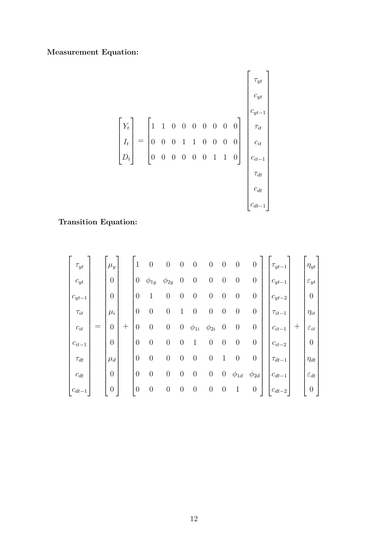### Measurement Equation:

$$
\begin{bmatrix} Y_t \\ I_t \\ D_t \end{bmatrix} = \begin{bmatrix} 1 & 1 & 0 & 0 & 0 & 0 & 0 & 0 & 0 \\ 0 & 0 & 0 & 1 & 1 & 0 & 0 & 0 & 0 \\ 0 & 0 & 0 & 0 & 0 & 1 & 1 & 0 \end{bmatrix} \begin{bmatrix} \tau_{yt} \\ c_{yt} \\ \tau_{it} \\ c_{it} \\ c_{it-1} \\ \tau_{dt} \\ \tau_{dt} \\ c_{dt-1} \end{bmatrix}
$$

### Transition Equation:

| $\tau_{yt}$                        | $\mu_y$          |     | 1        | $\overline{0}$ | $\boldsymbol{0}$ | $\overline{0}$   | $\boldsymbol{0}$ | $\boldsymbol{0}$ | $\boldsymbol{0}$ | $\boldsymbol{0}$ | 0                | $\tau_{yt-1}$ |                 | $\eta_{yt}$        |
|------------------------------------|------------------|-----|----------|----------------|------------------|------------------|------------------|------------------|------------------|------------------|------------------|---------------|-----------------|--------------------|
| $c_{yt}$                           | $\overline{0}$   |     | $\theta$ | $\phi_{1y}$    | $\phi_{2y}$      | $\theta$         | $\boldsymbol{0}$ | $\boldsymbol{0}$ | $\boldsymbol{0}$ | $\boldsymbol{0}$ | 0                | $c_{yt-1}$    |                 | $\varepsilon_{yt}$ |
| $c_{yt-1}$                         | $\overline{0}$   |     | $\theta$ | 1              | $\boldsymbol{0}$ | $\boldsymbol{0}$ | $\boldsymbol{0}$ | $\boldsymbol{0}$ | $\boldsymbol{0}$ | $\boldsymbol{0}$ | $\boldsymbol{0}$ | $c_{yt-2}$    |                 | $\boldsymbol{0}$   |
| $\tau_{it}$                        | $\mu_i$          |     | $\theta$ | $\theta$       | $\boldsymbol{0}$ | 1                | $\boldsymbol{0}$ | $\boldsymbol{0}$ | $\boldsymbol{0}$ | $\boldsymbol{0}$ | $\boldsymbol{0}$ | $\tau_{it-1}$ |                 | $\eta_{it}$        |
| $\ensuremath{\mathnormal{c}}_{it}$ | $\overline{0}$   | $+$ | $\theta$ | $\overline{0}$ | $\boldsymbol{0}$ | $\overline{0}$   | $\phi_{1i}$      | $\phi_{2i}$      | $\boldsymbol{0}$ | $\boldsymbol{0}$ | $\boldsymbol{0}$ | $c_{it-1}$    | $^{\mathrm{+}}$ | $\varepsilon_{it}$ |
| $c_{it-1}$                         | $\boldsymbol{0}$ |     | $\theta$ | $\overline{0}$ | $\overline{0}$   | $\overline{0}$   | 1                | $\boldsymbol{0}$ | $\boldsymbol{0}$ | $\boldsymbol{0}$ | 0                | $c_{it-2}$    |                 | $\boldsymbol{0}$   |
| $\tau_{dt}$                        | $\mu_d$          |     | $\theta$ | $\theta$       | $\overline{0}$   | $\theta$         | $\overline{0}$   | $\boldsymbol{0}$ | 1                | $\boldsymbol{0}$ | $\boldsymbol{0}$ | $\tau_{dt-1}$ |                 | $\eta_{dt}$        |
| $c_{dt}$                           | $\boldsymbol{0}$ |     | $\theta$ | $\theta$       | $\boldsymbol{0}$ | $\theta$         | $\boldsymbol{0}$ | $\boldsymbol{0}$ | $\boldsymbol{0}$ | $\phi_{1d}$      | $\phi_{2d}$      | $c_{dt-1}$    |                 | $\varepsilon_{dt}$ |
| $c_{dt-1}$                         | $\overline{0}$   |     | $\theta$ | $\theta$       | $\boldsymbol{0}$ | $\boldsymbol{0}$ | $\theta$         | $\boldsymbol{0}$ | $\boldsymbol{0}$ | 1                | $\boldsymbol{0}$ | $c_{dt-2}$    |                 | $\boldsymbol{0}$   |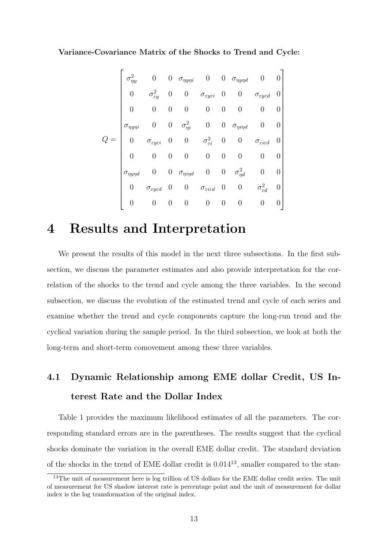Variance-Covariance Matrix of the Shocks to Trend and Cycle:

| $\sigma_{\eta y}^2$      | $\overline{0}$                         |                  |                            |                                          |                  | 0 $\sigma_{\eta y \eta i}$ 0 0 $\sigma_{\eta y \eta d}$ |                                        |  |
|--------------------------|----------------------------------------|------------------|----------------------------|------------------------------------------|------------------|---------------------------------------------------------|----------------------------------------|--|
| $\boldsymbol{0}$         | $\sigma_{\varepsilon y}^2$             | 0                | $\boldsymbol{0}$           | $\sigma_{\varepsilon y \varepsilon i}$   | $\overline{0}$   | $\boldsymbol{0}$                                        | $\sigma_{\varepsilon y \varepsilon d}$ |  |
| 0                        | $\boldsymbol{0}$                       | 0                | 0                          | $\overline{0}$                           | $\boldsymbol{0}$ |                                                         |                                        |  |
| $\sigma_{\eta y \eta i}$ |                                        | $\boldsymbol{0}$ | $\sigma_{\eta i}^2 = 0$    |                                          |                  | $0\quad \sigma_{\eta i \eta d}$                         | $\boldsymbol{0}$                       |  |
| $\overline{0}$           | $\sigma_{\varepsilon y\varepsilon i}$  | $\overline{0}$   |                            | 0 $\sigma_{\varepsilon i}^2$             | $\boldsymbol{0}$ | 0                                                       | $\sigma_{\varepsilon i \varepsilon d}$ |  |
| $\overline{0}$           | $\boldsymbol{0}$                       | $\boldsymbol{0}$ | $\overline{0}$             | $\overline{0}$                           | $\boldsymbol{0}$ | 0                                                       | $\boldsymbol{0}$                       |  |
| $\sigma_{\eta y \eta d}$ | 0                                      |                  | 0 $\sigma_{\eta i \eta d}$ | $\overline{0}$                           | $\overline{0}$   | $\sigma_{\eta d}^2$                                     | 0                                      |  |
| $\boldsymbol{0}$         | $\sigma_{\varepsilon y \varepsilon d}$ | $\overline{0}$   | $\overline{0}$             | $\sigma_{\varepsilon i \varepsilon d}$ 0 |                  | $\boldsymbol{0}$                                        | $\sigma^2_{\varepsilon d}$             |  |
|                          | $\overline{0}$                         | 0                | 0                          | $\boldsymbol{0}$                         | $\boldsymbol{0}$ | 0                                                       | $\overline{0}$                         |  |

# 4 Results and Interpretation

We present the results of this model in the next three subsections. In the first subsection, we discuss the parameter estimates and also provide interpretation for the correlation of the shocks to the trend and cycle among the three variables. In the second subsection, we discuss the evolution of the estimated trend and cycle of each series and examine whether the trend and cycle components capture the long-run trend and the cyclical variation during the sample period. In the third subsection, we look at both the long-term and short-term comovement among these three variables.

# 4.1 Dynamic Relationship among EME dollar Credit, US Interest Rate and the Dollar Index

Table 1 provides the maximum likelihood estimates of all the parameters. The corresponding standard errors are in the parentheses. The results suggest that the cyclical shocks dominate the variation in the overall EME dollar credit. The standard deviation of the shocks in the trend of EME dollar credit is  $0.014^{13}$ , smaller compared to the stan-

<sup>&</sup>lt;sup>13</sup>The unit of measurement here is log trillion of US dollars for the EME dollar credit series. The unit of measurement for US shadow interest rate is percentage point and the unit of measurement for dollar index is the log transformation of the original index.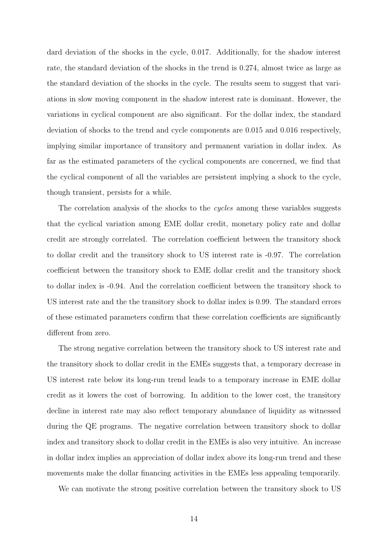dard deviation of the shocks in the cycle, 0.017. Additionally, for the shadow interest rate, the standard deviation of the shocks in the trend is 0.274, almost twice as large as the standard deviation of the shocks in the cycle. The results seem to suggest that variations in slow moving component in the shadow interest rate is dominant. However, the variations in cyclical component are also significant. For the dollar index, the standard deviation of shocks to the trend and cycle components are 0.015 and 0.016 respectively, implying similar importance of transitory and permanent variation in dollar index. As far as the estimated parameters of the cyclical components are concerned, we find that the cyclical component of all the variables are persistent implying a shock to the cycle, though transient, persists for a while.

The correlation analysis of the shocks to the *cycles* among these variables suggests that the cyclical variation among EME dollar credit, monetary policy rate and dollar credit are strongly correlated. The correlation coefficient between the transitory shock to dollar credit and the transitory shock to US interest rate is -0.97. The correlation coefficient between the transitory shock to EME dollar credit and the transitory shock to dollar index is -0.94. And the correlation coefficient between the transitory shock to US interest rate and the the transitory shock to dollar index is 0.99. The standard errors of these estimated parameters confirm that these correlation coefficients are significantly different from zero.

The strong negative correlation between the transitory shock to US interest rate and the transitory shock to dollar credit in the EMEs suggests that, a temporary decrease in US interest rate below its long-run trend leads to a temporary increase in EME dollar credit as it lowers the cost of borrowing. In addition to the lower cost, the transitory decline in interest rate may also reflect temporary abundance of liquidity as witnessed during the QE programs. The negative correlation between transitory shock to dollar index and transitory shock to dollar credit in the EMEs is also very intuitive. An increase in dollar index implies an appreciation of dollar index above its long-run trend and these movements make the dollar financing activities in the EMEs less appealing temporarily.

We can motivate the strong positive correlation between the transitory shock to US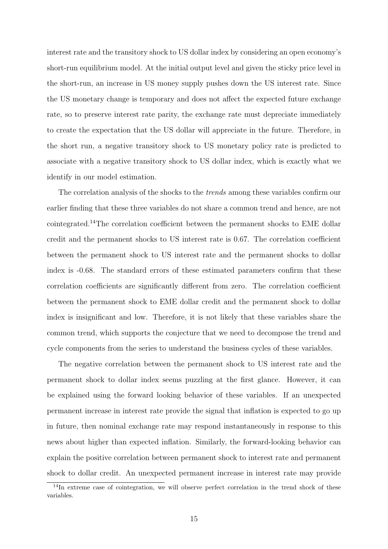interest rate and the transitory shock to US dollar index by considering an open economy's short-run equilibrium model. At the initial output level and given the sticky price level in the short-run, an increase in US money supply pushes down the US interest rate. Since the US monetary change is temporary and does not affect the expected future exchange rate, so to preserve interest rate parity, the exchange rate must depreciate immediately to create the expectation that the US dollar will appreciate in the future. Therefore, in the short run, a negative transitory shock to US monetary policy rate is predicted to associate with a negative transitory shock to US dollar index, which is exactly what we identify in our model estimation.

The correlation analysis of the shocks to the *trends* among these variables confirm our earlier finding that these three variables do not share a common trend and hence, are not cointegrated.<sup>14</sup>The correlation coefficient between the permanent shocks to EME dollar credit and the permanent shocks to US interest rate is 0.67. The correlation coefficient between the permanent shock to US interest rate and the permanent shocks to dollar index is -0.68. The standard errors of these estimated parameters confirm that these correlation coefficients are significantly different from zero. The correlation coefficient between the permanent shock to EME dollar credit and the permanent shock to dollar index is insignificant and low. Therefore, it is not likely that these variables share the common trend, which supports the conjecture that we need to decompose the trend and cycle components from the series to understand the business cycles of these variables.

The negative correlation between the permanent shock to US interest rate and the permanent shock to dollar index seems puzzling at the first glance. However, it can be explained using the forward looking behavior of these variables. If an unexpected permanent increase in interest rate provide the signal that inflation is expected to go up in future, then nominal exchange rate may respond instantaneously in response to this news about higher than expected inflation. Similarly, the forward-looking behavior can explain the positive correlation between permanent shock to interest rate and permanent shock to dollar credit. An unexpected permanent increase in interest rate may provide

<sup>&</sup>lt;sup>14</sup>In extreme case of cointegration, we will observe perfect correlation in the trend shock of these variables.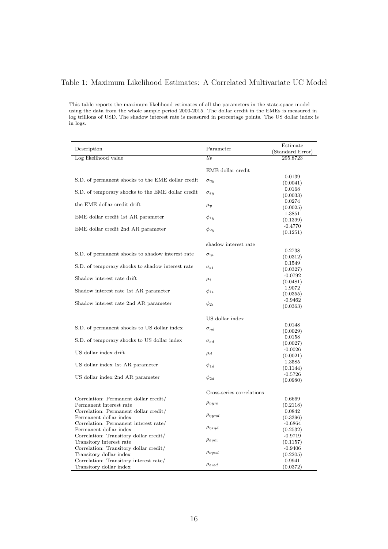### Table 1: Maximum Likelihood Estimates: A Correlated Multivariate UC Model

This table reports the maximum likelihood estimates of all the parameters in the state-space model using the data from the whole sample period 2000-2015. The dollar credit in the EMEs is measured in log trillions of USD. The shadow interest rate is measured in percentage points. The US dollar index is in logs.

| Description                                                      | Parameter                            | Estimate<br>(Standard Error) |
|------------------------------------------------------------------|--------------------------------------|------------------------------|
| Log likelihood value                                             | llv                                  | 295.8723                     |
|                                                                  |                                      |                              |
|                                                                  | EME dollar credit                    | 0.0139                       |
| S.D. of permanent shocks to the EME dollar credit                | $\sigma_{\eta y}$                    | (0.0041)                     |
|                                                                  |                                      | 0.0168                       |
| S.D. of temporary shocks to the EME dollar credit                | $\sigma_{\varepsilon y}$             | (0.0033)                     |
| the EME dollar credit drift                                      | $\mu_y$                              | 0.0274                       |
|                                                                  |                                      | (0.0025)                     |
| EME dollar credit 1st AR parameter                               | $\phi_{1y}$                          | 1.3851<br>(0.1399)           |
|                                                                  |                                      | $-0.4770$                    |
| EME dollar credit 2nd AR parameter                               | $\phi_{2y}$                          | (0.1251)                     |
|                                                                  |                                      |                              |
|                                                                  | shadow interest rate                 |                              |
| S.D. of permanent shocks to shadow interest rate                 | $\sigma_{\eta i}$                    | 0.2738                       |
|                                                                  |                                      | (0.0312)<br>0.1549           |
| S.D. of temporary shocks to shadow interest rate                 | $\sigma_{\varepsilon i}$             | (0.0327)                     |
|                                                                  |                                      | $-0.0792$                    |
| Shadow interest rate drift                                       | $\mu_i$                              | (0.0481)                     |
| Shadow interest rate 1st AR parameter                            | $\phi_{1i}$                          | 1.9072                       |
|                                                                  |                                      | (0.0355)                     |
| Shadow interest rate 2nd AR parameter                            | $\phi_{2i}$                          | $-0.9462$<br>(0.0363)        |
|                                                                  |                                      |                              |
|                                                                  | US dollar index                      |                              |
| S.D. of permanent shocks to US dollar index                      |                                      | 0.0148                       |
|                                                                  | $\sigma_{\eta d}$                    | (0.0029)                     |
| S.D. of temporary shocks to US dollar index                      | $\sigma_{\varepsilon d}$             | 0.0158                       |
|                                                                  |                                      | (0.0027)<br>$-0.0026$        |
| US dollar index drift                                            | $\mu_d$                              | (0.0021)                     |
|                                                                  |                                      | 1.3585                       |
| US dollar index 1st AR parameter                                 | $\phi_{1d}$                          | (0.1144)                     |
| US dollar index 2nd AR parameter                                 | $\phi_{2d}$                          | $-0.5726$                    |
|                                                                  |                                      | (0.0980)                     |
|                                                                  | Cross-series correlations            |                              |
| Correlation: Permanent dollar credit/                            |                                      | 0.6669                       |
| Permanent interest rate                                          | $\rho_{\eta y\eta i}$                | (0.2118)                     |
| Correlation: Permanent dollar credit/                            |                                      | 0.0842                       |
| Permanent dollar index                                           | $\rho_{\eta y \eta d}$               | (0.3396)                     |
| Correlation: Permanent interest rate/                            | $\rho_{\eta i \eta d}$               | $-0.6864$                    |
| Permanent dollar index<br>Correlation: Transitory dollar credit/ |                                      | (0.2532)<br>$-0.9719$        |
| Transitory interest rate                                         | $\rho_{\varepsilon y \varepsilon i}$ | (0.1157)                     |
| Correlation: Transitory dollar credit/                           |                                      | $-0.9406$                    |
| Transitory dollar index                                          | $\rho_{\varepsilon y \varepsilon d}$ | (0.2205)                     |
| Correlation: Transitory interest rate/                           | $\rho_{\varepsilon i \varepsilon d}$ | 0.9941                       |
| Transitory dollar index                                          |                                      | (0.0372)                     |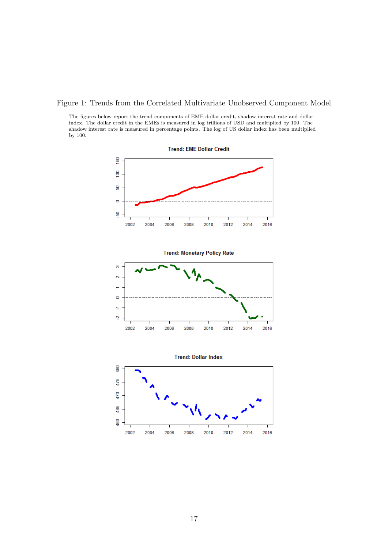#### Figure 1: Trends from the Correlated Multivariate Unobserved Component Model

The figures below report the trend components of EME dollar credit, shadow interest rate and dollar index. The dollar credit in the EMEs is measured in log trillions of USD and multiplied by 100. The shadow interest rate is measured in percentage points. The log of US dollar index has been multiplied by 100.



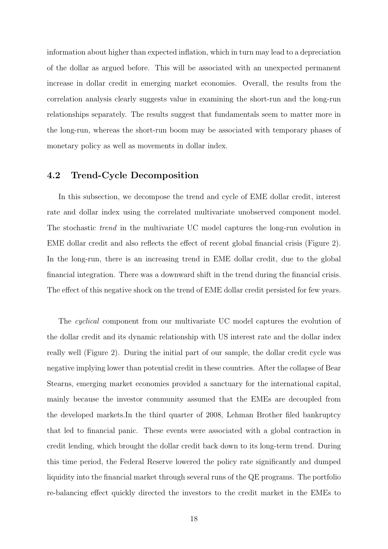information about higher than expected inflation, which in turn may lead to a depreciation of the dollar as argued before. This will be associated with an unexpected permanent increase in dollar credit in emerging market economies. Overall, the results from the correlation analysis clearly suggests value in examining the short-run and the long-run relationships separately. The results suggest that fundamentals seem to matter more in the long-run, whereas the short-run boom may be associated with temporary phases of monetary policy as well as movements in dollar index.

### 4.2 Trend-Cycle Decomposition

In this subsection, we decompose the trend and cycle of EME dollar credit, interest rate and dollar index using the correlated multivariate unobserved component model. The stochastic trend in the multivariate UC model captures the long-run evolution in EME dollar credit and also reflects the effect of recent global financial crisis (Figure 2). In the long-run, there is an increasing trend in EME dollar credit, due to the global financial integration. There was a downward shift in the trend during the financial crisis. The effect of this negative shock on the trend of EME dollar credit persisted for few years.

The cyclical component from our multivariate UC model captures the evolution of the dollar credit and its dynamic relationship with US interest rate and the dollar index really well (Figure 2). During the initial part of our sample, the dollar credit cycle was negative implying lower than potential credit in these countries. After the collapse of Bear Stearns, emerging market economies provided a sanctuary for the international capital, mainly because the investor community assumed that the EMEs are decoupled from the developed markets.In the third quarter of 2008, Lehman Brother filed bankruptcy that led to financial panic. These events were associated with a global contraction in credit lending, which brought the dollar credit back down to its long-term trend. During this time period, the Federal Reserve lowered the policy rate significantly and dumped liquidity into the financial market through several runs of the QE programs. The portfolio re-balancing effect quickly directed the investors to the credit market in the EMEs to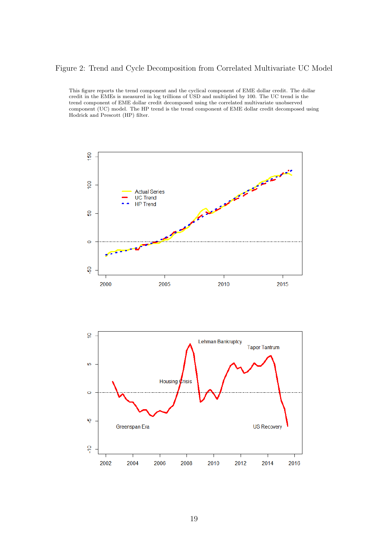### Figure 2: Trend and Cycle Decomposition from Correlated Multivariate UC Model

This figure reports the trend component and the cyclical component of EME dollar credit. The dollar credit in the EMEs is measured in log trillions of USD and multiplied by 100. The UC trend is the trend component of EME dollar credit decomposed using the correlated multivariate unobserved component (UC) model. The HP trend is the trend component of EME dollar credit decomposed using Hodrick and Prescott (HP) filter.



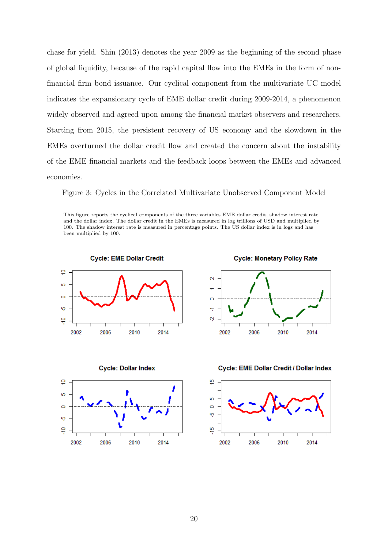chase for yield. Shin (2013) denotes the year 2009 as the beginning of the second phase of global liquidity, because of the rapid capital flow into the EMEs in the form of nonfinancial firm bond issuance. Our cyclical component from the multivariate UC model indicates the expansionary cycle of EME dollar credit during 2009-2014, a phenomenon widely observed and agreed upon among the financial market observers and researchers. Starting from 2015, the persistent recovery of US economy and the slowdown in the EMEs overturned the dollar credit flow and created the concern about the instability of the EME financial markets and the feedback loops between the EMEs and advanced economies.

Figure 3: Cycles in the Correlated Multivariate Unobserved Component Model

This figure reports the cyclical components of the three variables EME dollar credit, shadow interest rate and the dollar index. The dollar credit in the EMEs is measured in log trillions of USD and multiplied by 100. The shadow interest rate is measured in percentage points. The US dollar index is in logs and has been multiplied by 100.

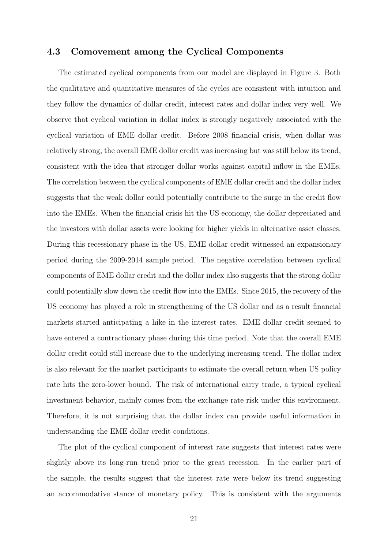### 4.3 Comovement among the Cyclical Components

The estimated cyclical components from our model are displayed in Figure 3. Both the qualitative and quantitative measures of the cycles are consistent with intuition and they follow the dynamics of dollar credit, interest rates and dollar index very well. We observe that cyclical variation in dollar index is strongly negatively associated with the cyclical variation of EME dollar credit. Before 2008 financial crisis, when dollar was relatively strong, the overall EME dollar credit was increasing but was still below its trend, consistent with the idea that stronger dollar works against capital inflow in the EMEs. The correlation between the cyclical components of EME dollar credit and the dollar index suggests that the weak dollar could potentially contribute to the surge in the credit flow into the EMEs. When the financial crisis hit the US economy, the dollar depreciated and the investors with dollar assets were looking for higher yields in alternative asset classes. During this recessionary phase in the US, EME dollar credit witnessed an expansionary period during the 2009-2014 sample period. The negative correlation between cyclical components of EME dollar credit and the dollar index also suggests that the strong dollar could potentially slow down the credit flow into the EMEs. Since 2015, the recovery of the US economy has played a role in strengthening of the US dollar and as a result financial markets started anticipating a hike in the interest rates. EME dollar credit seemed to have entered a contractionary phase during this time period. Note that the overall EME dollar credit could still increase due to the underlying increasing trend. The dollar index is also relevant for the market participants to estimate the overall return when US policy rate hits the zero-lower bound. The risk of international carry trade, a typical cyclical investment behavior, mainly comes from the exchange rate risk under this environment. Therefore, it is not surprising that the dollar index can provide useful information in understanding the EME dollar credit conditions.

The plot of the cyclical component of interest rate suggests that interest rates were slightly above its long-run trend prior to the great recession. In the earlier part of the sample, the results suggest that the interest rate were below its trend suggesting an accommodative stance of monetary policy. This is consistent with the arguments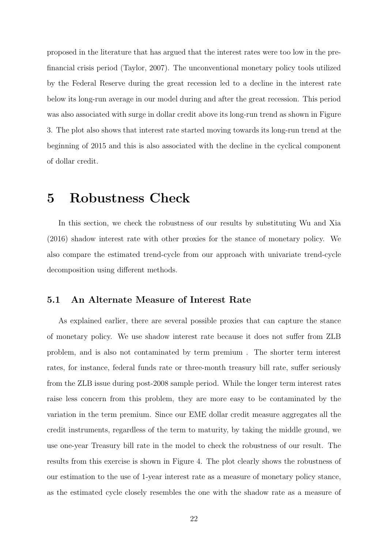proposed in the literature that has argued that the interest rates were too low in the prefinancial crisis period (Taylor, 2007). The unconventional monetary policy tools utilized by the Federal Reserve during the great recession led to a decline in the interest rate below its long-run average in our model during and after the great recession. This period was also associated with surge in dollar credit above its long-run trend as shown in Figure 3. The plot also shows that interest rate started moving towards its long-run trend at the beginning of 2015 and this is also associated with the decline in the cyclical component of dollar credit.

# 5 Robustness Check

In this section, we check the robustness of our results by substituting Wu and Xia (2016) shadow interest rate with other proxies for the stance of monetary policy. We also compare the estimated trend-cycle from our approach with univariate trend-cycle decomposition using different methods.

### 5.1 An Alternate Measure of Interest Rate

As explained earlier, there are several possible proxies that can capture the stance of monetary policy. We use shadow interest rate because it does not suffer from ZLB problem, and is also not contaminated by term premium . The shorter term interest rates, for instance, federal funds rate or three-month treasury bill rate, suffer seriously from the ZLB issue during post-2008 sample period. While the longer term interest rates raise less concern from this problem, they are more easy to be contaminated by the variation in the term premium. Since our EME dollar credit measure aggregates all the credit instruments, regardless of the term to maturity, by taking the middle ground, we use one-year Treasury bill rate in the model to check the robustness of our result. The results from this exercise is shown in Figure 4. The plot clearly shows the robustness of our estimation to the use of 1-year interest rate as a measure of monetary policy stance, as the estimated cycle closely resembles the one with the shadow rate as a measure of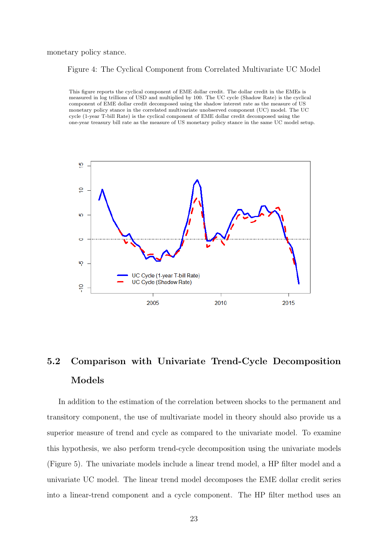monetary policy stance.

#### Figure 4: The Cyclical Component from Correlated Multivariate UC Model

This figure reports the cyclical component of EME dollar credit. The dollar credit in the EMEs is measured in log trillions of USD and multiplied by 100. The UC cycle (Shadow Rate) is the cyclical component of EME dollar credit decomposed using the shadow interest rate as the measure of US monetary policy stance in the correlated multivariate unobserved component (UC) model. The UC cycle (1-year T-bill Rate) is the cyclical component of EME dollar credit decomposed using the one-year treasury bill rate as the measure of US monetary policy stance in the same UC model setup.



# 5.2 Comparison with Univariate Trend-Cycle Decomposition Models

In addition to the estimation of the correlation between shocks to the permanent and transitory component, the use of multivariate model in theory should also provide us a superior measure of trend and cycle as compared to the univariate model. To examine this hypothesis, we also perform trend-cycle decomposition using the univariate models (Figure 5). The univariate models include a linear trend model, a HP filter model and a univariate UC model. The linear trend model decomposes the EME dollar credit series into a linear-trend component and a cycle component. The HP filter method uses an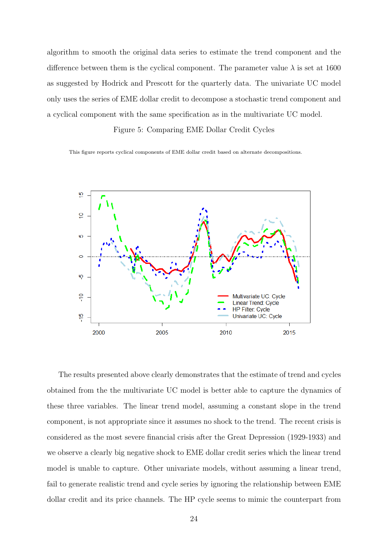algorithm to smooth the original data series to estimate the trend component and the difference between them is the cyclical component. The parameter value  $\lambda$  is set at 1600 as suggested by Hodrick and Prescott for the quarterly data. The univariate UC model only uses the series of EME dollar credit to decompose a stochastic trend component and a cyclical component with the same specification as in the multivariate UC model.

#### Figure 5: Comparing EME Dollar Credit Cycles

This figure reports cyclical components of EME dollar credit based on alternate decompositions.



The results presented above clearly demonstrates that the estimate of trend and cycles obtained from the the multivariate UC model is better able to capture the dynamics of these three variables. The linear trend model, assuming a constant slope in the trend component, is not appropriate since it assumes no shock to the trend. The recent crisis is considered as the most severe financial crisis after the Great Depression (1929-1933) and we observe a clearly big negative shock to EME dollar credit series which the linear trend model is unable to capture. Other univariate models, without assuming a linear trend, fail to generate realistic trend and cycle series by ignoring the relationship between EME dollar credit and its price channels. The HP cycle seems to mimic the counterpart from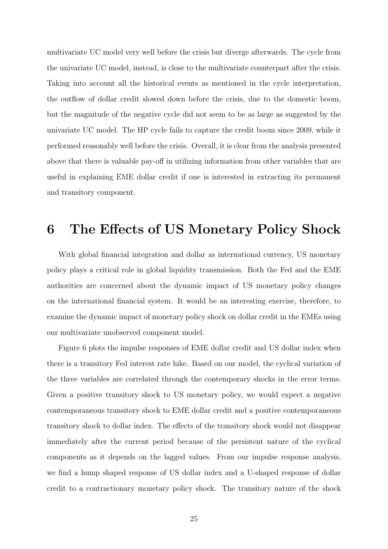multivariate UC model very well before the crisis but diverge afterwards. The cycle from the univariate UC model, instead, is close to the multivariate counterpart after the crisis. Taking into account all the historical events as mentioned in the cycle interpretation, the outflow of dollar credit slowed down before the crisis, due to the domestic boom, but the magnitude of the negative cycle did not seem to be as large as suggested by the univariate UC model. The HP cycle fails to capture the credit boom since 2009, while it performed reasonably well before the crisis. Overall, it is clear from the analysis presented above that there is valuable pay-off in utilizing information from other variables that are useful in explaining EME dollar credit if one is interested in extracting its permanent and transitory component.

# 6 The Effects of US Monetary Policy Shock

With global financial integration and dollar as international currency, US monetary policy plays a critical role in global liquidity transmission. Both the Fed and the EME authorities are concerned about the dynamic impact of US monetary policy changes on the international financial system. It would be an interesting exercise, therefore, to examine the dynamic impact of monetary policy shock on dollar credit in the EMEs using our multivariate unobserved component model.

Figure 6 plots the impulse responses of EME dollar credit and US dollar index when there is a transitory Fed interest rate hike. Based on our model, the cyclical variation of the three variables are correlated through the contemporary shocks in the error terms. Given a positive transitory shock to US monetary policy, we would expect a negative contemporaneous transitory shock to EME dollar credit and a positive contemporaneous transitory shock to dollar index. The effects of the transitory shock would not disappear immediately after the current period because of the persistent nature of the cyclical components as it depends on the lagged values. From our impulse response analysis, we find a hump shaped response of US dollar index and a U-shaped response of dollar credit to a contractionary monetary policy shock. The transitory nature of the shock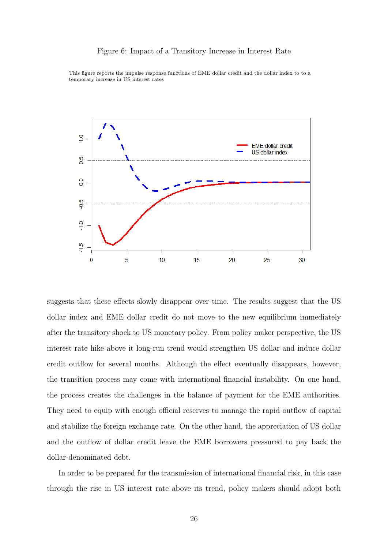#### Figure 6: Impact of a Transitory Increase in Interest Rate



This figure reports the impulse response functions of EME dollar credit and the dollar index to to a temporary increase in US interest rates

suggests that these effects slowly disappear over time. The results suggest that the US dollar index and EME dollar credit do not move to the new equilibrium immediately after the transitory shock to US monetary policy. From policy maker perspective, the US interest rate hike above it long-run trend would strengthen US dollar and induce dollar credit outflow for several months. Although the effect eventually disappears, however, the transition process may come with international financial instability. On one hand, the process creates the challenges in the balance of payment for the EME authorities. They need to equip with enough official reserves to manage the rapid outflow of capital and stabilize the foreign exchange rate. On the other hand, the appreciation of US dollar and the outflow of dollar credit leave the EME borrowers pressured to pay back the dollar-denominated debt.

In order to be prepared for the transmission of international financial risk, in this case through the rise in US interest rate above its trend, policy makers should adopt both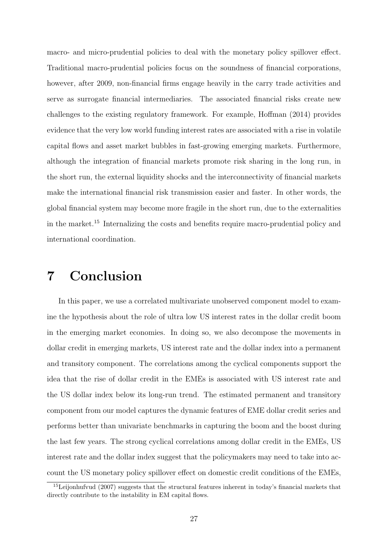macro- and micro-prudential policies to deal with the monetary policy spillover effect. Traditional macro-prudential policies focus on the soundness of financial corporations, however, after 2009, non-financial firms engage heavily in the carry trade activities and serve as surrogate financial intermediaries. The associated financial risks create new challenges to the existing regulatory framework. For example, Hoffman (2014) provides evidence that the very low world funding interest rates are associated with a rise in volatile capital flows and asset market bubbles in fast-growing emerging markets. Furthermore, although the integration of financial markets promote risk sharing in the long run, in the short run, the external liquidity shocks and the interconnectivity of financial markets make the international financial risk transmission easier and faster. In other words, the global financial system may become more fragile in the short run, due to the externalities in the market.<sup>15</sup> Internalizing the costs and benefits require macro-prudential policy and international coordination.

# 7 Conclusion

In this paper, we use a correlated multivariate unobserved component model to examine the hypothesis about the role of ultra low US interest rates in the dollar credit boom in the emerging market economies. In doing so, we also decompose the movements in dollar credit in emerging markets, US interest rate and the dollar index into a permanent and transitory component. The correlations among the cyclical components support the idea that the rise of dollar credit in the EMEs is associated with US interest rate and the US dollar index below its long-run trend. The estimated permanent and transitory component from our model captures the dynamic features of EME dollar credit series and performs better than univariate benchmarks in capturing the boom and the boost during the last few years. The strong cyclical correlations among dollar credit in the EMEs, US interest rate and the dollar index suggest that the policymakers may need to take into account the US monetary policy spillover effect on domestic credit conditions of the EMEs,

 $15$ Leijonhufvud (2007) suggests that the structural features inherent in today's financial markets that directly contribute to the instability in EM capital flows.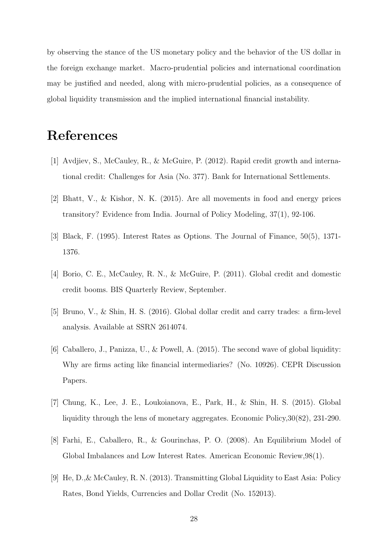by observing the stance of the US monetary policy and the behavior of the US dollar in the foreign exchange market. Macro-prudential policies and international coordination may be justified and needed, along with micro-prudential policies, as a consequence of global liquidity transmission and the implied international financial instability.

# References

- [1] Avdjiev, S., McCauley, R., & McGuire, P. (2012). Rapid credit growth and international credit: Challenges for Asia (No. 377). Bank for International Settlements.
- [2] Bhatt, V., & Kishor, N. K. (2015). Are all movements in food and energy prices transitory? Evidence from India. Journal of Policy Modeling, 37(1), 92-106.
- [3] Black, F. (1995). Interest Rates as Options. The Journal of Finance, 50(5), 1371- 1376.
- [4] Borio, C. E., McCauley, R. N., & McGuire, P. (2011). Global credit and domestic credit booms. BIS Quarterly Review, September.
- [5] Bruno, V., & Shin, H. S. (2016). Global dollar credit and carry trades: a firm-level analysis. Available at SSRN 2614074.
- [6] Caballero, J., Panizza, U., & Powell, A. (2015). The second wave of global liquidity: Why are firms acting like financial intermediaries? (No. 10926). CEPR Discussion Papers.
- [7] Chung, K., Lee, J. E., Loukoianova, E., Park, H., & Shin, H. S. (2015). Global liquidity through the lens of monetary aggregates. Economic Policy,30(82), 231-290.
- [8] Farhi, E., Caballero, R., & Gourinchas, P. O. (2008). An Equilibrium Model of Global Imbalances and Low Interest Rates. American Economic Review,98(1).
- [9] He, D.,& McCauley, R. N. (2013). Transmitting Global Liquidity to East Asia: Policy Rates, Bond Yields, Currencies and Dollar Credit (No. 152013).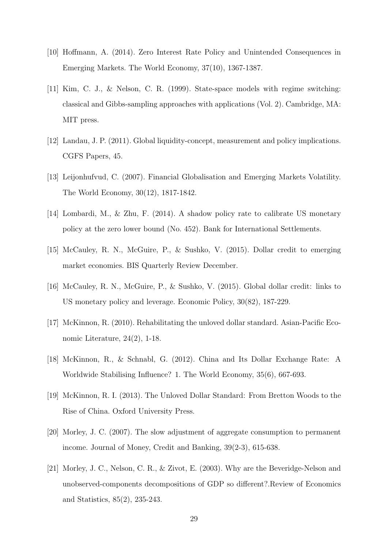- [10] Hoffmann, A. (2014). Zero Interest Rate Policy and Unintended Consequences in Emerging Markets. The World Economy, 37(10), 1367-1387.
- [11] Kim, C. J., & Nelson, C. R. (1999). State-space models with regime switching: classical and Gibbs-sampling approaches with applications (Vol. 2). Cambridge, MA: MIT press.
- [12] Landau, J. P. (2011). Global liquidity-concept, measurement and policy implications. CGFS Papers, 45.
- [13] Leijonhufvud, C. (2007). Financial Globalisation and Emerging Markets Volatility. The World Economy, 30(12), 1817-1842.
- [14] Lombardi, M., & Zhu, F. (2014). A shadow policy rate to calibrate US monetary policy at the zero lower bound (No. 452). Bank for International Settlements.
- [15] McCauley, R. N., McGuire, P., & Sushko, V. (2015). Dollar credit to emerging market economies. BIS Quarterly Review December.
- [16] McCauley, R. N., McGuire, P., & Sushko, V. (2015). Global dollar credit: links to US monetary policy and leverage. Economic Policy, 30(82), 187-229.
- [17] McKinnon, R. (2010). Rehabilitating the unloved dollar standard. Asian-Pacific Economic Literature, 24(2), 1-18.
- [18] McKinnon, R., & Schnabl, G. (2012). China and Its Dollar Exchange Rate: A Worldwide Stabilising Influence? 1. The World Economy, 35(6), 667-693.
- [19] McKinnon, R. I. (2013). The Unloved Dollar Standard: From Bretton Woods to the Rise of China. Oxford University Press.
- [20] Morley, J. C. (2007). The slow adjustment of aggregate consumption to permanent income. Journal of Money, Credit and Banking, 39(2-3), 615-638.
- [21] Morley, J. C., Nelson, C. R., & Zivot, E. (2003). Why are the Beveridge-Nelson and unobserved-components decompositions of GDP so different?.Review of Economics and Statistics, 85(2), 235-243.